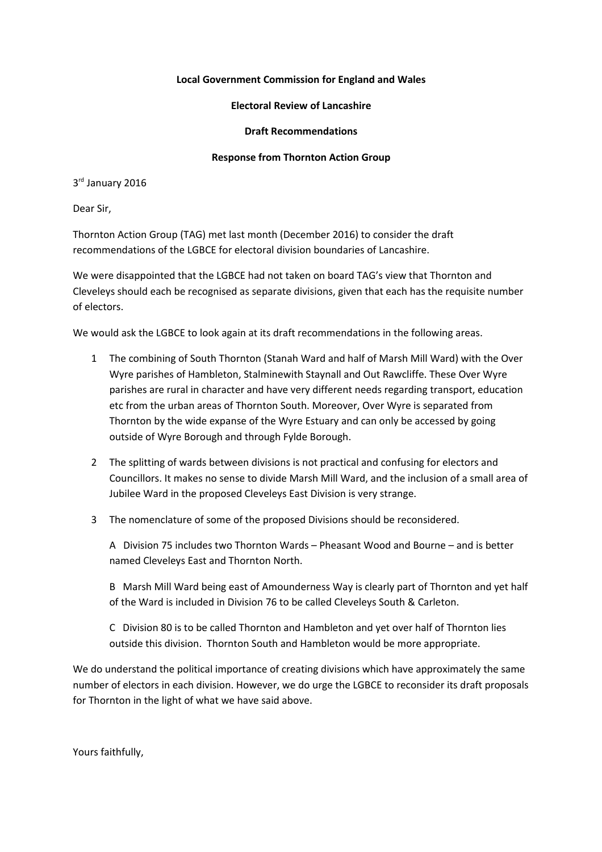## **Local Government Commission for England and Wales**

## **Electoral Review of Lancashire**

## **Draft Recommendations**

## **Response from Thornton Action Group**

3<sup>rd</sup> January 2016

Dear Sir,

Thornton Action Group (TAG) met last month (December 2016) to consider the draft recommendations of the LGBCE for electoral division boundaries of Lancashire.

We were disappointed that the LGBCE had not taken on board TAG's view that Thornton and Cleveleys should each be recognised as separate divisions, given that each has the requisite number of electors.

We would ask the LGBCE to look again at its draft recommendations in the following areas.

- 1 The combining of South Thornton (Stanah Ward and half of Marsh Mill Ward) with the Over Wyre parishes of Hambleton, Stalminewith Staynall and Out Rawcliffe. These Over Wyre parishes are rural in character and have very different needs regarding transport, education etc from the urban areas of Thornton South. Moreover, Over Wyre is separated from Thornton by the wide expanse of the Wyre Estuary and can only be accessed by going outside of Wyre Borough and through Fylde Borough.
- 2 The splitting of wards between divisions is not practical and confusing for electors and Councillors. It makes no sense to divide Marsh Mill Ward, and the inclusion of a small area of Jubilee Ward in the proposed Cleveleys East Division is very strange.
- 3 The nomenclature of some of the proposed Divisions should be reconsidered.

A Division 75 includes two Thornton Wards – Pheasant Wood and Bourne – and is better named Cleveleys East and Thornton North.

B Marsh Mill Ward being east of Amounderness Way is clearly part of Thornton and yet half of the Ward is included in Division 76 to be called Cleveleys South & Carleton.

C Division 80 is to be called Thornton and Hambleton and yet over half of Thornton lies outside this division. Thornton South and Hambleton would be more appropriate.

We do understand the political importance of creating divisions which have approximately the same number of electors in each division. However, we do urge the LGBCE to reconsider its draft proposals for Thornton in the light of what we have said above.

Yours faithfully,